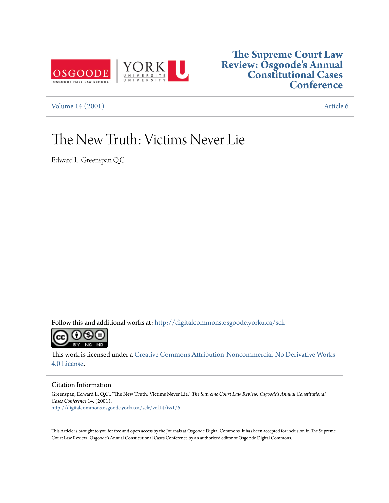

## **[The Supreme Court Law](http://digitalcommons.osgoode.yorku.ca/sclr?utm_source=digitalcommons.osgoode.yorku.ca%2Fsclr%2Fvol14%2Fiss1%2F6&utm_medium=PDF&utm_campaign=PDFCoverPages) [Review: Osgoode's Annual](http://digitalcommons.osgoode.yorku.ca/sclr?utm_source=digitalcommons.osgoode.yorku.ca%2Fsclr%2Fvol14%2Fiss1%2F6&utm_medium=PDF&utm_campaign=PDFCoverPages) [Constitutional Cases](http://digitalcommons.osgoode.yorku.ca/sclr?utm_source=digitalcommons.osgoode.yorku.ca%2Fsclr%2Fvol14%2Fiss1%2F6&utm_medium=PDF&utm_campaign=PDFCoverPages) [Conference](http://digitalcommons.osgoode.yorku.ca/sclr?utm_source=digitalcommons.osgoode.yorku.ca%2Fsclr%2Fvol14%2Fiss1%2F6&utm_medium=PDF&utm_campaign=PDFCoverPages)**

[Volume 14 \(2001\)](http://digitalcommons.osgoode.yorku.ca/sclr/vol14?utm_source=digitalcommons.osgoode.yorku.ca%2Fsclr%2Fvol14%2Fiss1%2F6&utm_medium=PDF&utm_campaign=PDFCoverPages) [Article 6](http://digitalcommons.osgoode.yorku.ca/sclr/vol14/iss1/6?utm_source=digitalcommons.osgoode.yorku.ca%2Fsclr%2Fvol14%2Fiss1%2F6&utm_medium=PDF&utm_campaign=PDFCoverPages)

# The New Truth: Victims Never Lie

Edward L. Greenspan Q.C.

Follow this and additional works at: [http://digitalcommons.osgoode.yorku.ca/sclr](http://digitalcommons.osgoode.yorku.ca/sclr?utm_source=digitalcommons.osgoode.yorku.ca%2Fsclr%2Fvol14%2Fiss1%2F6&utm_medium=PDF&utm_campaign=PDFCoverPages)



This work is licensed under a [Creative Commons Attribution-Noncommercial-No Derivative Works](http://creativecommons.org/licenses/by-nc-nd/4.0/) [4.0 License.](http://creativecommons.org/licenses/by-nc-nd/4.0/)

#### Citation Information

Greenspan, Edward L. Q.C.. "The New Truth: Victims Never Lie." *The Supreme Court Law Review: Osgoode's Annual Constitutional Cases Conference* 14. (2001). [http://digitalcommons.osgoode.yorku.ca/sclr/vol14/iss1/6](http://digitalcommons.osgoode.yorku.ca/sclr/vol14/iss1/6?utm_source=digitalcommons.osgoode.yorku.ca%2Fsclr%2Fvol14%2Fiss1%2F6&utm_medium=PDF&utm_campaign=PDFCoverPages)

This Article is brought to you for free and open access by the Journals at Osgoode Digital Commons. It has been accepted for inclusion in The Supreme Court Law Review: Osgoode's Annual Constitutional Cases Conference by an authorized editor of Osgoode Digital Commons.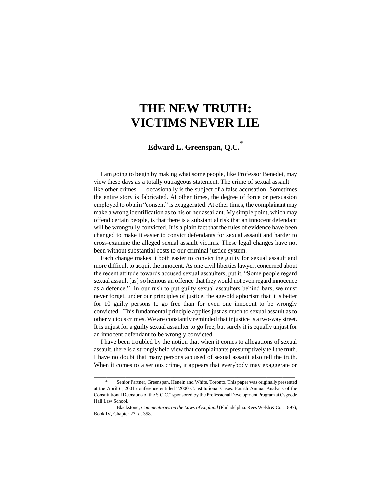# **THE NEW TRUTH: VICTIMS NEVER LIE**

### **Edward L. Greenspan, Q.C.**\*

I am going to begin by making what some people, like Professor Benedet, may view these days as a totally outrageous statement. The crime of sexual assault like other crimes — occasionally is the subject of a false accusation. Sometimes the entire story is fabricated. At other times, the degree of force or persuasion employed to obtain "consent" is exaggerated. At other times, the complainant may make a wrong identification as to his or her assailant. My simple point, which may offend certain people, is that there is a substantial risk that an innocent defendant will be wrongfully convicted. It is a plain fact that the rules of evidence have been changed to make it easier to convict defendants for sexual assault and harder to cross-examine the alleged sexual assault victims. These legal changes have not been without substantial costs to our criminal justice system.

Each change makes it both easier to convict the guilty for sexual assault and more difficult to acquit the innocent. As one civil liberties lawyer, concerned about the recent attitude towards accused sexual assaulters, put it, "Some people regard sexual assault [as] so heinous an offence that they would not even regard innocence as a defence." In our rush to put guilty sexual assaulters behind bars, we must never forget, under our principles of justice, the age-old aphorism that it is better for 10 guilty persons to go free than for even one innocent to be wrongly convicted.<sup>1</sup> This fundamental principle applies just as much to sexual assault as to other vicious crimes. We are constantly reminded that injustice is a two-way street. It is unjust for a guilty sexual assaulter to go free, but surely it is equally unjust for an innocent defendant to be wrongly convicted.

I have been troubled by the notion that when it comes to allegations of sexual assault, there is a strongly held view that complainants presumptively tell the truth. I have no doubt that many persons accused of sexual assault also tell the truth. When it comes to a serious crime, it appears that everybody may exaggerate or

Senior Partner, Greenspan, Henein and White, Toronto. This paper was originally presented at the April 6, 2001 conference entitled "2000 Constitutional Cases: Fourth Annual Analysis of the Constitutional Decisions of the S.C.C." sponsored by the Professional Development Program at Osgoode Hall Law School.

<sup>1</sup> Blackstone, *Commentaries on the Laws of England* (Philadelphia: Rees Welsh & Co., 1897), Book IV, Chapter 27, at 358.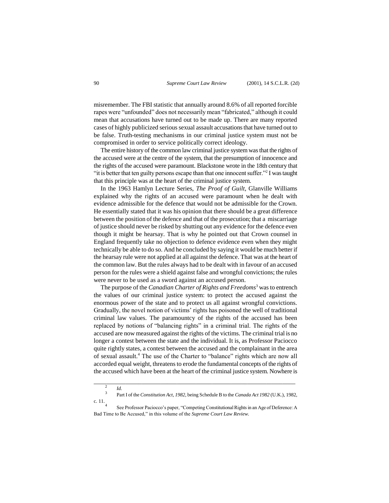misremember. The FBI statistic that annually around 8.6% of all reported forcible rapes were "unfounded" does not necessarily mean "fabricated," although it could mean that accusations have turned out to be made up. There are many reported cases of highly publicized serious sexual assault accusations that have turned out to be false. Truth-testing mechanisms in our criminal justice system must not be compromised in order to service politically correct ideology.

The entire history of the common law criminal justice system was that the rights of the accused were at the centre of the system, that the presumption of innocence and the rights of the accused were paramount. Blackstone wrote in the 18th century that "it is better that ten guilty persons escape than that one innocent suffer."<sup>2</sup> I was taught that this principle was at the heart of the criminal justice system.

In the 1963 Hamlyn Lecture Series, *The Proof of Guilt*, Glanville Williams explained why the rights of an accused were paramount when he dealt with evidence admissible for the defence that would not be admissible for the Crown. He essentially stated that it was his opinion that there should be a great difference between the position of the defence and that of the prosecution; that a miscarriage of justice should never be risked by shutting out any evidence for the defence even though it might be hearsay. That is why he pointed out that Crown counsel in England frequently take no objection to defence evidence even when they might technically be able to do so. And he concluded by saying it would be much better if the hearsay rule were not applied at all against the defence. That was at the heart of the common law. But the rules always had to be dealt with in favour of an accused person for the rules were a shield against false and wrongful convictions; the rules were never to be used as a sword against an accused person.

The purpose of the *Canadian Charter of Rights and Freedoms*<sup>3</sup> was to entrench the values of our criminal justice system: to protect the accused against the enormous power of the state and to protect us all against wrongful convictions. Gradually, the novel notion of victims' rights has poisoned the well of traditional criminal law values. The paramountcy of the rights of the accused has been replaced by notions of "balancing rights" in a criminal trial. The rights of the accused are now measured against the rights of the victims. The criminal trial is no longer a contest between the state and the individual. It is, as Professor Paciocco quite rightly states, a contest between the accused and the complainant in the area of sexual assault.<sup>4</sup> The use of the Charter to "balance" rights which are now all accorded equal weight, threatens to erode the fundamental concepts of the rights of the accused which have been at the heart of the criminal justice system. Nowhere is

<sup>2</sup> *Id.* 3

Part I of the *Constitution Act, 1982*, being Schedule B to the *Canada Act 1982* (U.K.), 1982, c. 11. 4

See Professor Paciocco's paper, "Competing Constitutional Rights in an Age of Deference: A Bad Time to Be Accused," in this volume of the *Supreme Court Law Review.*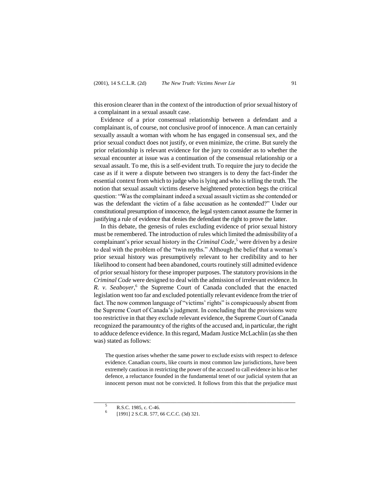this erosion clearer than in the context of the introduction of prior sexual history of a complainant in a sexual assault case.

Evidence of a prior consensual relationship between a defendant and a complainant is, of course, not conclusive proof of innocence. A man can certainly sexually assault a woman with whom he has engaged in consensual sex, and the prior sexual conduct does not justify, or even minimize, the crime. But surely the prior relationship is relevant evidence for the jury to consider as to whether the sexual encounter at issue was a continuation of the consensual relationship or a sexual assault. To me, this is a self-evident truth. To require the jury to decide the case as if it were a dispute between two strangers is to deny the fact-finder the essential context from which to judge who is lying and who is telling the truth. The notion that sexual assault victims deserve heightened protection begs the critical question: "Was the complainant indeed a sexual assault victim as she contended or was the defendant the victim of a false accusation as he contended?" Under our constitutional presumption of innocence, the legal system cannot assume the former in justifying a rule of evidence that denies the defendant the right to prove the latter.

In this debate, the genesis of rules excluding evidence of prior sexual history must be remembered. The introduction of rules which limited the admissibility of a complainant's prior sexual history in the *Criminal Code*, <sup>5</sup> were driven by a desire to deal with the problem of the "twin myths." Although the belief that a woman's prior sexual history was presumptively relevant to her credibility and to her likelihood to consent had been abandoned, courts routinely still admitted evidence of prior sexual history for these improper purposes. The statutory provisions in the *Criminal Code* were designed to deal with the admission of irrelevant evidence. In R. v. Seaboyer,<sup>6</sup> the Supreme Court of Canada concluded that the enacted legislation went too far and excluded potentially relevant evidence from the trier of fact. The now common language of "victims' rights" is conspicuously absent from the Supreme Court of Canada's judgment. In concluding that the provisions were too restrictive in that they exclude relevant evidence, the Supreme Court of Canada recognized the paramountcy of the rights of the accused and, in particular, the right to adduce defence evidence. In this regard, Madam Justice McLachlin (as she then was) stated as follows:

The question arises whether the same power to exclude exists with respect to defence evidence. Canadian courts, like courts in most common law jurisdictions, have been extremely cautious in restricting the power of the accused to call evidence in his or her defence, a reluctance founded in the fundamental tenet of our judicial system that an innocent person must not be convicted. It follows from this that the prejudice must

<sup>5</sup> R.S.C. 1985, c. C-46.

<sup>6</sup> [1991] 2 S.C.R. 577, 66 C.C.C. (3d) 321.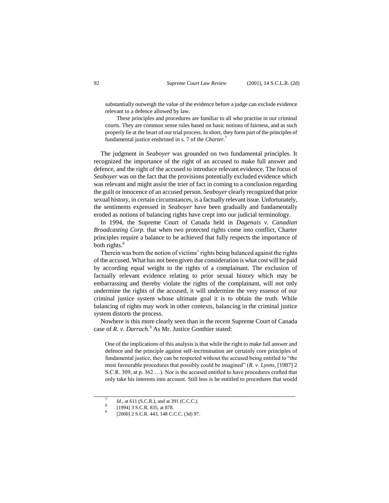substantially outweigh the value of the evidence before a judge can exclude evidence relevant to a defence allowed by law.

These principles and procedures are familiar to all who practise in our criminal courts. They are common sense rules based on basic notions of fairness, and as such properly lie at the heart of our trial process. In short, they form part of the principles of fundamental justice enshrined in s. 7 of the *Charter.*<sup>7</sup>

The judgment in *Seaboyer* was grounded on two fundamental principles. It recognized the importance of the right of an accused to make full answer and defence, and the right of the accused to introduce relevant evidence. The focus of *Seaboyer* was on the fact that the provisions potentially excluded evidence which was relevant and might assist the trier of fact in coming to a conclusion regarding the guilt or innocence of an accused person. *Seaboyer* clearly recognized that prior sexual history, in certain circumstances, is a factually relevant issue. Unfortunately, the sentiments expressed in *Seaboyer* have been gradually and fundamentally eroded as notions of balancing rights have crept into our judicial terminology.

In 1994, the Supreme Court of Canada held in *Dagenais v. Canadian Broadcasting Corp.* that when two protected rights come into conflict, Charter principles require a balance to be achieved that fully respects the importance of both rights.<sup>8</sup>

Therein was born the notion of victims' rights being balanced against the rights of the accused. What has not been given due consideration is what cost will be paid by according equal weight to the rights of a complainant. The exclusion of factually relevant evidence relating to prior sexual history which may be embarrassing and thereby violate the rights of the complainant, will not only undermine the rights of the accused, it will undermine the very essence of our criminal justice system whose ultimate goal it is to obtain the truth. While balancing of rights may work in other contexts, balancing in the criminal justice system distorts the process.

Nowhere is this more clearly seen than in the recent Supreme Court of Canada case of *R. v. Darrach*.<sup>9</sup> As Mr. Justice Gonthier stated:

One of the implications of this analysis is that while the right to make full answer and defence and the principle against self-incrimination are certainly core principles of fundamental justice, they can be respected without the accused being entitled to "the most favourable procedures that possibly could be imagined" (*R. v. Lyons*, [1987] 2 S.C.R. 309, at p. 362 …). Nor is the accused entitled to have procedures crafted that only take his interests into account. Still less is he entitled to procedures that would

<sup>7</sup> *Id.*, at 611 (S.C.R.), and at 391 (C.C.C.). 8

<sup>[1994] 3</sup> S.C.R. 835, at 878.

<sup>9</sup> [2000] 2 S.C.R. 443, 148 C.C.C. (3d) 97.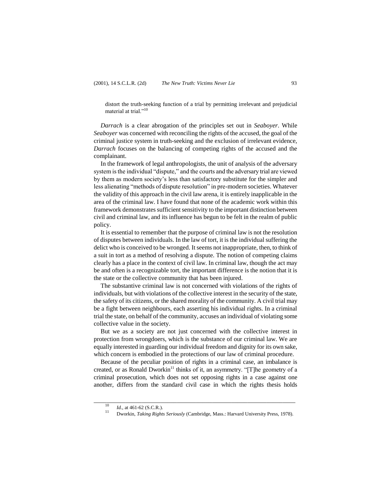distort the truth-seeking function of a trial by permitting irrelevant and prejudicial material at trial."<sup>10</sup>

*Darrach* is a clear abrogation of the principles set out in *Seaboyer*. While *Seaboyer* was concerned with reconciling the rights of the accused, the goal of the criminal justice system in truth-seeking and the exclusion of irrelevant evidence, *Darrach* focuses on the balancing of competing rights of the accused and the complainant.

In the framework of legal anthropologists, the unit of analysis of the adversary system is the individual "dispute," and the courts and the adversary trial are viewed by them as modern society's less than satisfactory substitute for the simpler and less alienating "methods of dispute resolution" in pre-modern societies. Whatever the validity of this approach in the civil law arena, it is entirely inapplicable in the area of the criminal law. I have found that none of the academic work within this framework demonstrates sufficient sensitivity to the important distinction between civil and criminal law, and its influence has begun to be felt in the realm of public policy.

It is essential to remember that the purpose of criminal law is not the resolution of disputes between individuals. In the law of tort, it is the individual suffering the delict who is conceived to be wronged. It seems not inappropriate, then, to think of a suit in tort as a method of resolving a dispute. The notion of competing claims clearly has a place in the context of civil law. In criminal law, though the act may be and often is a recognizable tort, the important difference is the notion that it is the state or the collective community that has been injured.

The substantive criminal law is not concerned with violations of the rights of individuals, but with violations of the collective interest in the security of the state, the safety of its citizens, or the shared morality of the community. A civil trial may be a fight between neighbours, each asserting his individual rights. In a criminal trial the state, on behalf of the community, accuses an individual of violating some collective value in the society.

But we as a society are not just concerned with the collective interest in protection from wrongdoers, which is the substance of our criminal law. We are equally interested in guarding our individual freedom and dignity for its own sake, which concern is embodied in the protections of our law of criminal procedure.

Because of the peculiar position of rights in a criminal case, an imbalance is created, or as Ronald Dworkin<sup>11</sup> thinks of it, an asymmetry. "[T]he geometry of a criminal prosecution, which does not set opposing rights in a case against one another, differs from the standard civil case in which the rights thesis holds

 $10$  *Id.*, at 461-62 (S.C.R.).

<sup>11</sup> Dworkin, *Taking Rights Seriously* (Cambridge, Mass.: Harvard University Press, 1978).